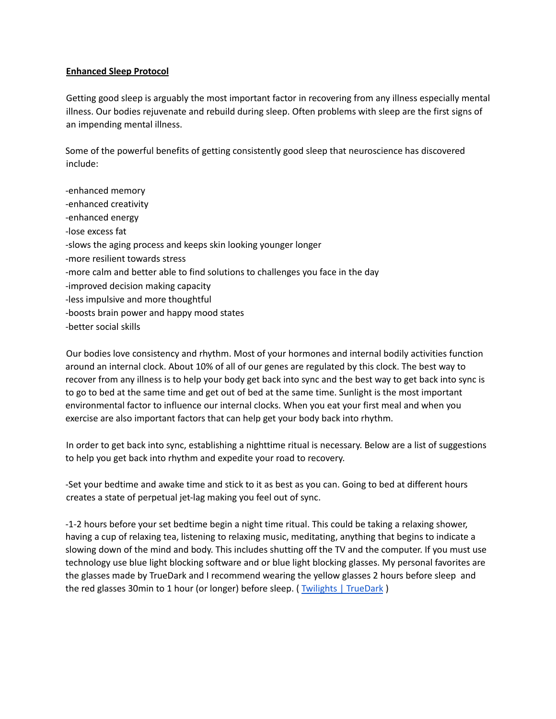#### **Enhanced Sleep Protocol**

Getting good sleep is arguably the most important factor in recovering from any illness especially mental illness. Our bodies rejuvenate and rebuild during sleep. Often problems with sleep are the first signs of an impending mental illness.

Some of the powerful benefits of getting consistently good sleep that neuroscience has discovered include:

-enhanced memory -enhanced creativity -enhanced energy -lose excess fat -slows the aging process and keeps skin looking younger longer -more resilient towards stress -more calm and better able to find solutions to challenges you face in the day -improved decision making capacity -less impulsive and more thoughtful -boosts brain power and happy mood states -better social skills

Our bodies love consistency and rhythm. Most of your hormones and internal bodily activities function around an internal clock. About 10% of all of our genes are regulated by this clock. The best way to recover from any illness is to help your body get back into sync and the best way to get back into sync is to go to bed at the same time and get out of bed at the same time. Sunlight is the most important environmental factor to influence our internal clocks. When you eat your first meal and when you exercise are also important factors that can help get your body back into rhythm.

In order to get back into sync, establishing a nighttime ritual is necessary. Below are a list of suggestions to help you get back into rhythm and expedite your road to recovery.

-Set your bedtime and awake time and stick to it as best as you can. Going to bed at different hours creates a state of perpetual jet-lag making you feel out of sync.

-1-2 hours before your set bedtime begin a night time ritual. This could be taking a relaxing shower, having a cup of relaxing tea, listening to relaxing music, meditating, anything that begins to indicate a slowing down of the mind and body. This includes shutting off the TV and the computer. If you must use technology use blue light blocking software and or blue light blocking glasses. My personal favorites are the glasses made by TrueDark and I recommend wearing the yellow glasses 2 hours before sleep and the red glasses 30min to 1 hour (or longer) before sleep. (Twilights | [TrueDark](https://truedark.com/twilights/) )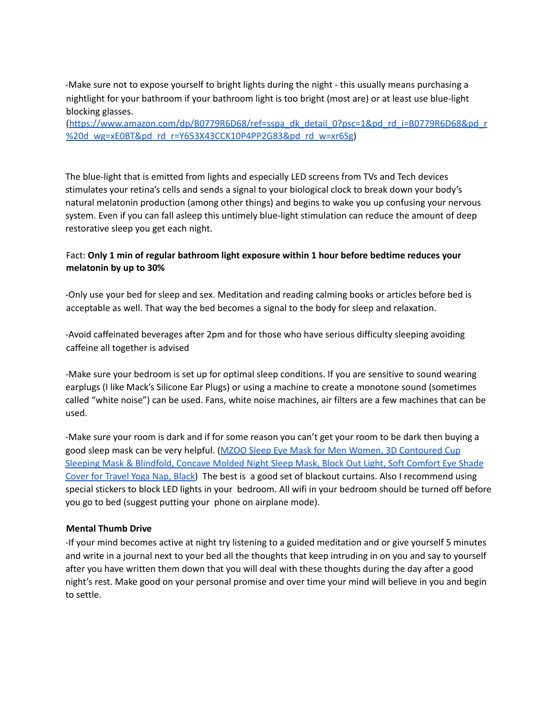-Make sure not to expose yourself to bright lights during the night - this usually means purchasing a nightlight for your bathroom if your bathroom light is too bright (most are) or at least use blue-light blocking glasses.

[\(https://www.amazon.com/dp/B0779R6D68/ref=sspa\\_dk\\_detail\\_0?psc=1&pd\\_rd\\_i=B0779R6D68&pd\\_r](https://www.amazon.com/dp/B0779R6D68/ref=sspa_dk_detail_0?psc=1&pd_rd_i=B0779R6D68&pd_r%20d_wg=xE0BT&pd_rd_r=Y653X43CCK10P4PP2G83&pd_rd_w=xr6Sg) [%20d\\_wg=xE0BT&pd\\_rd\\_r=Y653X43CCK10P4PP2G83&pd\\_rd\\_w=xr6Sg](https://www.amazon.com/dp/B0779R6D68/ref=sspa_dk_detail_0?psc=1&pd_rd_i=B0779R6D68&pd_r%20d_wg=xE0BT&pd_rd_r=Y653X43CCK10P4PP2G83&pd_rd_w=xr6Sg))

The blue-light that is emitted from lights and especially LED screens from TVs and Tech devices stimulates your retina's cells and sends a signal to your biological clock to break down your body's natural melatonin production (among other things) and begins to wake you up confusing your nervous system. Even if you can fall asleep this untimely blue-light stimulation can reduce the amount of deep restorative sleep you get each night.

# Fact: **Only 1 min of regular bathroom light exposure within 1 hour before bedtime reduces your melatonin by up to 30%**

-Only use your bed for sleep and sex. Meditation and reading calming books or articles before bed is acceptable as well. That way the bed becomes a signal to the body for sleep and relaxation.

-Avoid caffeinated beverages after 2pm and for those who have serious difficulty sleeping avoiding caffeine all together is advised

-Make sure your bedroom is set up for optimal sleep conditions. If you are sensitive to sound wearing earplugs (I like Mack's Silicone Ear Plugs) or using a machine to create a monotone sound (sometimes called "white noise") can be used. Fans, white noise machines, air filters are a few machines that can be used.

-Make sure your room is dark and if for some reason you can't get your room to be dark then buying a good sleep mask can be very helpful. (MZOO Sleep Eye Mask for Men Women, 3D [Contoured](https://www.amazon.com/Contoured-Sleeping-Blindfold-Concave-Meditation/dp/B07KC5DWCC/ref=sr_1_1_sspa?dchild=1&keywords=sleep+mask&qid=1624605075&sr=8-1-spons&psc=1&smid=A14IUA6SJUICH3&spLa=ZW5jcnlwdGVkUXVhbGlmaWVyPUExTkowM0tRTjg3TzFXJmVuY3J5cHRlZElkPUEwMDc5NzE1MktXTUtXRkgyNFJaTiZlbmNyeXB0ZWRBZElkPUEwNDE4NDE2M0tNSDdPVlZLVU1WQSZ3aWRnZXROYW1lPXNwX2F0ZiZhY3Rpb249Y2xpY2tSZWRpcmVjdCZkb05vdExvZ0NsaWNrPXRydWU=) Cup Sleeping Mask & [Blindfold,](https://www.amazon.com/Contoured-Sleeping-Blindfold-Concave-Meditation/dp/B07KC5DWCC/ref=sr_1_1_sspa?dchild=1&keywords=sleep+mask&qid=1624605075&sr=8-1-spons&psc=1&smid=A14IUA6SJUICH3&spLa=ZW5jcnlwdGVkUXVhbGlmaWVyPUExTkowM0tRTjg3TzFXJmVuY3J5cHRlZElkPUEwMDc5NzE1MktXTUtXRkgyNFJaTiZlbmNyeXB0ZWRBZElkPUEwNDE4NDE2M0tNSDdPVlZLVU1WQSZ3aWRnZXROYW1lPXNwX2F0ZiZhY3Rpb249Y2xpY2tSZWRpcmVjdCZkb05vdExvZ0NsaWNrPXRydWU=) Concave Molded Night Sleep Mask, Block Out Light, Soft Comfort Eye Shade Cover for [Travel](https://www.amazon.com/Contoured-Sleeping-Blindfold-Concave-Meditation/dp/B07KC5DWCC/ref=sr_1_1_sspa?dchild=1&keywords=sleep+mask&qid=1624605075&sr=8-1-spons&psc=1&smid=A14IUA6SJUICH3&spLa=ZW5jcnlwdGVkUXVhbGlmaWVyPUExTkowM0tRTjg3TzFXJmVuY3J5cHRlZElkPUEwMDc5NzE1MktXTUtXRkgyNFJaTiZlbmNyeXB0ZWRBZElkPUEwNDE4NDE2M0tNSDdPVlZLVU1WQSZ3aWRnZXROYW1lPXNwX2F0ZiZhY3Rpb249Y2xpY2tSZWRpcmVjdCZkb05vdExvZ0NsaWNrPXRydWU=) Yoga Nap, Black) The best is a good set of blackout curtains. Also I recommend using special stickers to block LED lights in your bedroom. All wifi in your bedroom should be turned off before you go to bed (suggest putting your phone on airplane mode).

## **Mental Thumb Drive**

-If your mind becomes active at night try listening to a guided meditation and or give yourself 5 minutes and write in a journal next to your bed all the thoughts that keep intruding in on you and say to yourself after you have written them down that you will deal with these thoughts during the day after a good night's rest. Make good on your personal promise and over time your mind will believe in you and begin to settle.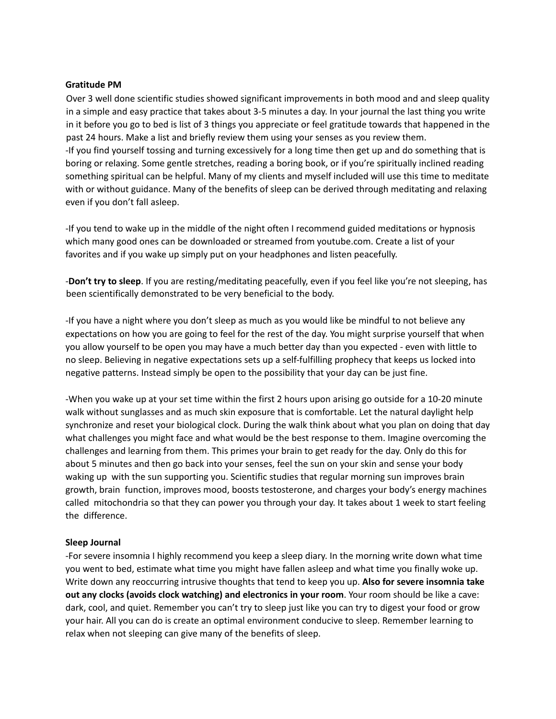#### **Gratitude PM**

Over 3 well done scientific studies showed significant improvements in both mood and and sleep quality in a simple and easy practice that takes about 3-5 minutes a day. In your journal the last thing you write in it before you go to bed is list of 3 things you appreciate or feel gratitude towards that happened in the past 24 hours. Make a list and briefly review them using your senses as you review them. -If you find yourself tossing and turning excessively for a long time then get up and do something that is boring or relaxing. Some gentle stretches, reading a boring book, or if you're spiritually inclined reading something spiritual can be helpful. Many of my clients and myself included will use this time to meditate with or without guidance. Many of the benefits of sleep can be derived through meditating and relaxing even if you don't fall asleep.

-If you tend to wake up in the middle of the night often I recommend guided meditations or hypnosis which many good ones can be downloaded or streamed from youtube.com. Create a list of your favorites and if you wake up simply put on your headphones and listen peacefully.

-**Don't try to sleep**. If you are resting/meditating peacefully, even if you feel like you're not sleeping, has been scientifically demonstrated to be very beneficial to the body.

-If you have a night where you don't sleep as much as you would like be mindful to not believe any expectations on how you are going to feel for the rest of the day. You might surprise yourself that when you allow yourself to be open you may have a much better day than you expected - even with little to no sleep. Believing in negative expectations sets up a self-fulfilling prophecy that keeps us locked into negative patterns. Instead simply be open to the possibility that your day can be just fine.

-When you wake up at your set time within the first 2 hours upon arising go outside for a 10-20 minute walk without sunglasses and as much skin exposure that is comfortable. Let the natural daylight help synchronize and reset your biological clock. During the walk think about what you plan on doing that day what challenges you might face and what would be the best response to them. Imagine overcoming the challenges and learning from them. This primes your brain to get ready for the day. Only do this for about 5 minutes and then go back into your senses, feel the sun on your skin and sense your body waking up with the sun supporting you. Scientific studies that regular morning sun improves brain growth, brain function, improves mood, boosts testosterone, and charges your body's energy machines called mitochondria so that they can power you through your day. It takes about 1 week to start feeling the difference.

## **Sleep Journal**

-For severe insomnia I highly recommend you keep a sleep diary. In the morning write down what time you went to bed, estimate what time you might have fallen asleep and what time you finally woke up. Write down any reoccurring intrusive thoughts that tend to keep you up. **Also for severe insomnia take out any clocks (avoids clock watching) and electronics in your room**. Your room should be like a cave: dark, cool, and quiet. Remember you can't try to sleep just like you can try to digest your food or grow your hair. All you can do is create an optimal environment conducive to sleep. Remember learning to relax when not sleeping can give many of the benefits of sleep.